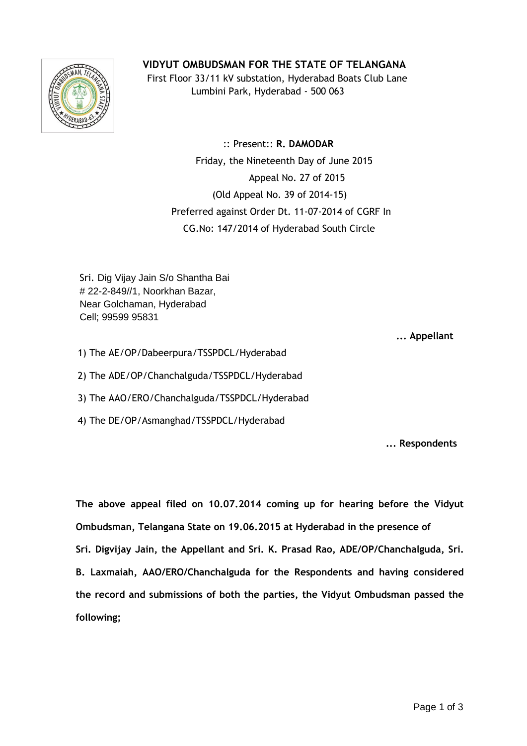## **VIDYUT OMBUDSMAN FOR THE STATE OF TELANGANA**



 First Floor 33/11 kV substation, Hyderabad Boats Club Lane Lumbini Park, Hyderabad - 500 063

 :: Present:: **R. DAMODAR** Friday, the Nineteenth Day of June 2015 Appeal No. 27 of 2015 (Old Appeal No. 39 of 2014-15) Preferred against Order Dt. 11-07-2014 of CGRF In CG.No: 147/2014 of Hyderabad South Circle

Sri. Dig Vijay Jain S/o Shantha Bai # 22-2-849//1, Noorkhan Bazar, Near Golchaman, Hyderabad Cell; 99599 95831

 **... Appellant**

- 1) The AE/OP/Dabeerpura/TSSPDCL/Hyderabad
- 2) The ADE/OP/Chanchalguda/TSSPDCL/Hyderabad
- 3) The AAO/ERO/Chanchalguda/TSSPDCL/Hyderabad
- 4) The DE/OP/Asmanghad/TSSPDCL/Hyderabad

**... Respondents**

**The above appeal filed on 10.07.2014 coming up for hearing before the Vidyut Ombudsman, Telangana State on 19.06.2015 at Hyderabad in the presence of Sri. Digvijay Jain, the Appellant and Sri. K. Prasad Rao, ADE/OP/Chanchalguda, Sri. B. Laxmaiah, AAO/ERO/Chanchalguda for the Respondents and having considered the record and submissions of both the parties, the Vidyut Ombudsman passed the following;**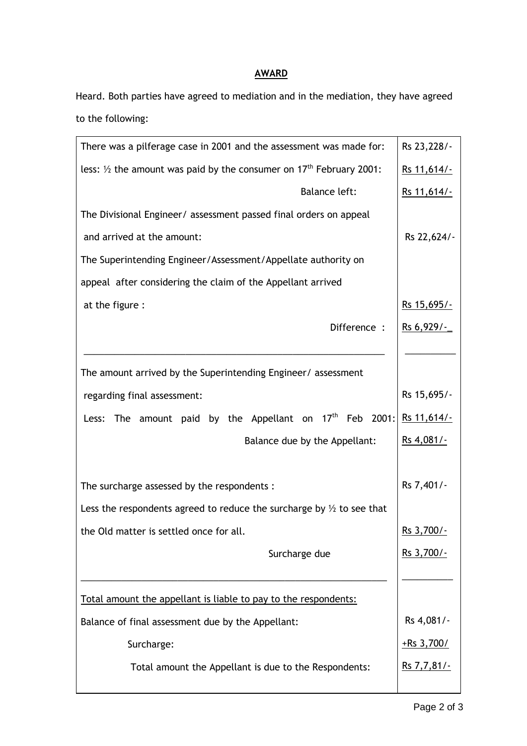## **AWARD**

Heard. Both parties have agreed to mediation and in the mediation, they have agreed to the following:

| There was a pilferage case in 2001 and the assessment was made for:                        | Rs 23, 228/-       |
|--------------------------------------------------------------------------------------------|--------------------|
| less: $\frac{1}{2}$ the amount was paid by the consumer on 17 <sup>th</sup> February 2001: | Rs 11,614/-        |
| Balance left:                                                                              | Rs 11,614/-        |
| The Divisional Engineer/ assessment passed final orders on appeal                          |                    |
| and arrived at the amount:                                                                 | Rs 22,624/-        |
| The Superintending Engineer/Assessment/Appellate authority on                              |                    |
| appeal after considering the claim of the Appellant arrived                                |                    |
| at the figure :                                                                            | Rs 15,695/-        |
| Difference :                                                                               | Rs 6,929/-         |
|                                                                                            |                    |
| The amount arrived by the Superintending Engineer/ assessment                              |                    |
| regarding final assessment:                                                                | Rs 15,695/-        |
| The amount paid by the Appellant on $17th$ Feb 2001:<br>Less:                              | <u>Rs 11,614/-</u> |
| Balance due by the Appellant:                                                              | Rs 4,081/-         |
|                                                                                            |                    |
| The surcharge assessed by the respondents :                                                | Rs 7,401/-         |
| Less the respondents agreed to reduce the surcharge by $\frac{1}{2}$ to see that           |                    |
| the Old matter is settled once for all.                                                    | Rs 3,700/-         |
| Surcharge due                                                                              | <u>Rs 3,700/-</u>  |
|                                                                                            |                    |
| Total amount the appellant is liable to pay to the respondents:                            |                    |
| Balance of final assessment due by the Appellant:                                          | Rs 4,081/-         |
| Surcharge:                                                                                 | $+$ Rs 3,700/      |
| Total amount the Appellant is due to the Respondents:                                      | <u>Rs 7,7,81/-</u> |
|                                                                                            |                    |